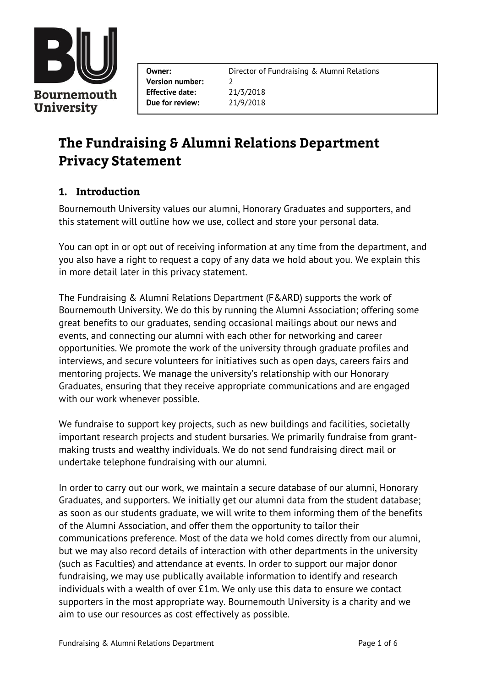

**Version number:** 2 **Effective date:** 21/3/2018 **Due for review:** 21/9/2018

**Owner:** Director of Fundraising & Alumni Relations

# The Fundraising & Alumni Relations Department **Privacy Statement**

# 1. Introduction

Bournemouth University values our alumni, Honorary Graduates and supporters, and this statement will outline how we use, collect and store your personal data.

You can opt in or opt out of receiving information at any time from the department, and you also have a right to request a copy of any data we hold about you. We explain this in more detail later in this privacy statement.

The Fundraising & Alumni Relations Department (F&ARD) supports the work of Bournemouth University. We do this by running the Alumni Association; offering some great benefits to our graduates, sending occasional mailings about our news and events, and connecting our alumni with each other for networking and career opportunities. We promote the work of the university through graduate profiles and interviews, and secure volunteers for initiatives such as open days, careers fairs and mentoring projects. We manage the university's relationship with our Honorary Graduates, ensuring that they receive appropriate communications and are engaged with our work whenever possible.

We fundraise to support key projects, such as new buildings and facilities, societally important research projects and student bursaries. We primarily fundraise from grantmaking trusts and wealthy individuals. We do not send fundraising direct mail or undertake telephone fundraising with our alumni.

In order to carry out our work, we maintain a secure database of our alumni, Honorary Graduates, and supporters. We initially get our alumni data from the student database; as soon as our students graduate, we will write to them informing them of the benefits of the Alumni Association, and offer them the opportunity to tailor their communications preference. Most of the data we hold comes directly from our alumni, but we may also record details of interaction with other departments in the university (such as Faculties) and attendance at events. In order to support our major donor fundraising, we may use publically available information to identify and research individuals with a wealth of over £1m. We only use this data to ensure we contact supporters in the most appropriate way. Bournemouth University is a charity and we aim to use our resources as cost effectively as possible.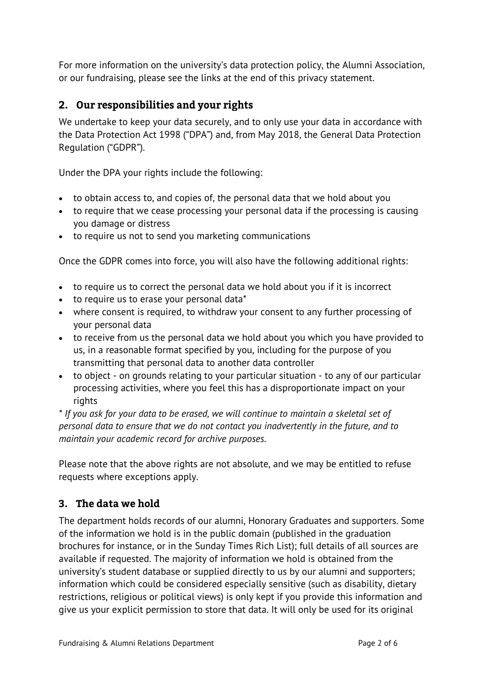For more information on the university's data protection policy, the Alumni Association, or our fundraising, please see the links at the end of this privacy statement.

# 2. Our responsibilities and your rights

We undertake to keep your data securely, and to only use your data in accordance with the Data Protection Act 1998 ("DPA") and, from May 2018, the General Data Protection Regulation ("GDPR").

Under the DPA your rights include the following:

- to obtain access to, and copies of, the personal data that we hold about you
- to require that we cease processing your personal data if the processing is causing you damage or distress
- to require us not to send you marketing communications

Once the GDPR comes into force, you will also have the following additional rights:

- to require us to correct the personal data we hold about you if it is incorrect
- to require us to erase your personal data\*
- where consent is required, to withdraw your consent to any further processing of your personal data
- to receive from us the personal data we hold about you which you have provided to us, in a reasonable format specified by you, including for the purpose of you transmitting that personal data to another data controller
- to object on grounds relating to your particular situation to any of our particular processing activities, where you feel this has a disproportionate impact on your rights

*\* If you ask for your data to be erased, we will continue to maintain a skeletal set of personal data to ensure that we do not contact you inadvertently in the future, and to maintain your academic record for archive purposes.*

Please note that the above rights are not absolute, and we may be entitled to refuse requests where exceptions apply.

# 3. The data we hold

The department holds records of our alumni, Honorary Graduates and supporters. Some of the information we hold is in the public domain (published in the graduation brochures for instance, or in the Sunday Times Rich List); full details of all sources are available if requested. The majority of information we hold is obtained from the university's student database or supplied directly to us by our alumni and supporters; information which could be considered especially sensitive (such as disability, dietary restrictions, religious or political views) is only kept if you provide this information and give us your explicit permission to store that data. It will only be used for its original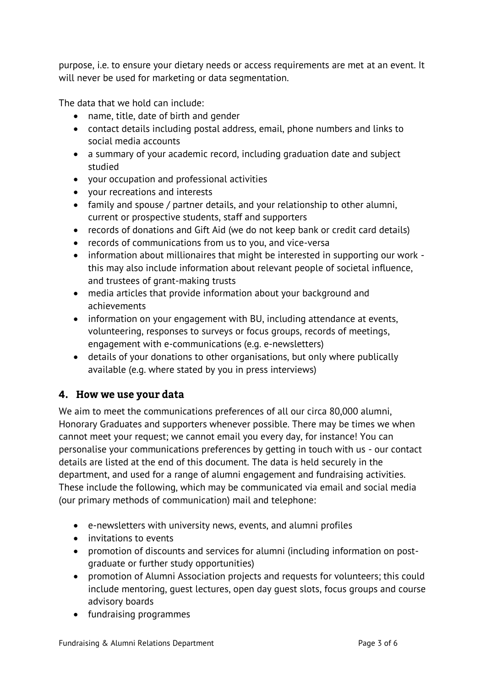purpose, i.e. to ensure your dietary needs or access requirements are met at an event. It will never be used for marketing or data segmentation.

The data that we hold can include:

- name, title, date of birth and gender
- contact details including postal address, email, phone numbers and links to social media accounts
- a summary of your academic record, including graduation date and subject studied
- your occupation and professional activities
- your recreations and interests
- family and spouse / partner details, and your relationship to other alumni, current or prospective students, staff and supporters
- records of donations and Gift Aid (we do not keep bank or credit card details)
- records of communications from us to you, and vice-versa
- information about millionaires that might be interested in supporting our work this may also include information about relevant people of societal influence, and trustees of grant-making trusts
- media articles that provide information about your background and achievements
- information on your engagement with BU, including attendance at events, volunteering, responses to surveys or focus groups, records of meetings, engagement with e-communications (e.g. e-newsletters)
- details of your donations to other organisations, but only where publically available (e.g. where stated by you in press interviews)

#### 4. How we use your data

We aim to meet the communications preferences of all our circa 80,000 alumni, Honorary Graduates and supporters whenever possible. There may be times we when cannot meet your request; we cannot email you every day, for instance! You can personalise your communications preferences by getting in touch with us - our contact details are listed at the end of this document. The data is held securely in the department, and used for a range of alumni engagement and fundraising activities. These include the following, which may be communicated via email and social media (our primary methods of communication) mail and telephone:

- e-newsletters with university news, events, and alumni profiles
- invitations to events
- promotion of discounts and services for alumni (including information on postgraduate or further study opportunities)
- promotion of Alumni Association projects and requests for volunteers; this could include mentoring, guest lectures, open day guest slots, focus groups and course advisory boards
- fundraising programmes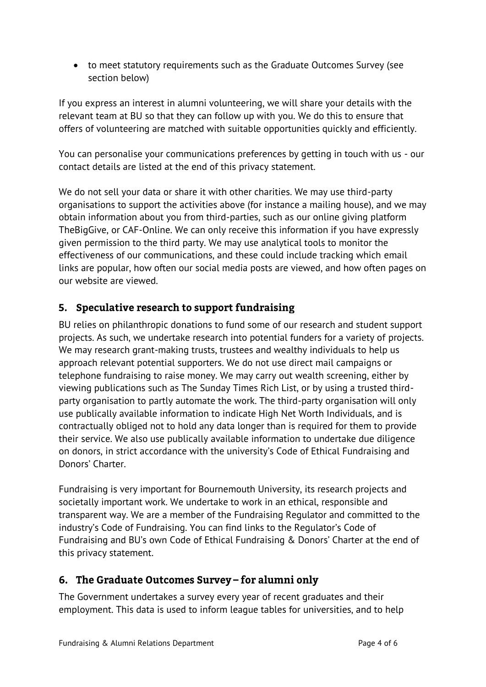to meet statutory requirements such as the Graduate Outcomes Survey (see section below)

If you express an interest in alumni volunteering, we will share your details with the relevant team at BU so that they can follow up with you. We do this to ensure that offers of volunteering are matched with suitable opportunities quickly and efficiently.

You can personalise your communications preferences by getting in touch with us - our contact details are listed at the end of this privacy statement.

We do not sell your data or share it with other charities. We may use third-party organisations to support the activities above (for instance a mailing house), and we may obtain information about you from third-parties, such as our online giving platform TheBigGive, or CAF-Online. We can only receive this information if you have expressly given permission to the third party. We may use analytical tools to monitor the effectiveness of our communications, and these could include tracking which email links are popular, how often our social media posts are viewed, and how often pages on our website are viewed.

# 5. Speculative research to support fundraising

BU relies on philanthropic donations to fund some of our research and student support projects. As such, we undertake research into potential funders for a variety of projects. We may research grant-making trusts, trustees and wealthy individuals to help us approach relevant potential supporters. We do not use direct mail campaigns or telephone fundraising to raise money. We may carry out wealth screening, either by viewing publications such as The Sunday Times Rich List, or by using a trusted thirdparty organisation to partly automate the work. The third-party organisation will only use publically available information to indicate High Net Worth Individuals, and is contractually obliged not to hold any data longer than is required for them to provide their service. We also use publically available information to undertake due diligence on donors, in strict accordance with the university's Code of Ethical Fundraising and Donors' Charter.

Fundraising is very important for Bournemouth University, its research projects and societally important work. We undertake to work in an ethical, responsible and transparent way. We are a member of the Fundraising Regulator and committed to the industry's Code of Fundraising. You can find links to the Regulator's Code of Fundraising and BU's own Code of Ethical Fundraising & Donors' Charter at the end of this privacy statement.

# 6. The Graduate Outcomes Survey - for alumni only

The Government undertakes a survey every year of recent graduates and their employment. This data is used to inform league tables for universities, and to help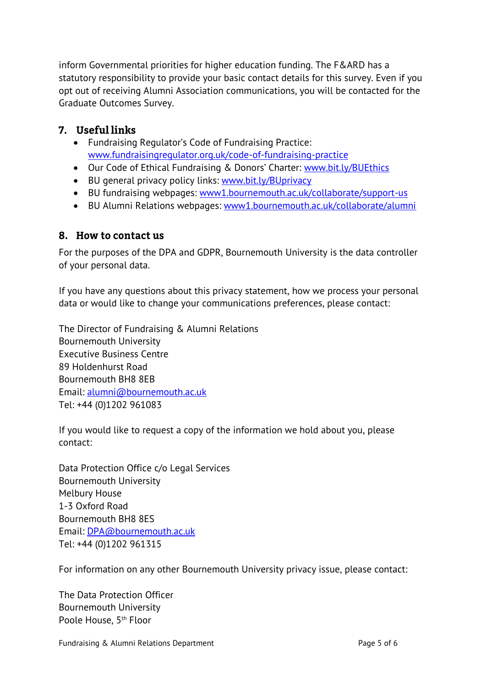inform Governmental priorities for higher education funding. The F&ARD has a statutory responsibility to provide your basic contact details for this survey. Even if you opt out of receiving Alumni Association communications, you will be contacted for the Graduate Outcomes Survey.

## 7. Useful links

- Fundraising Regulator's Code of Fundraising Practice: [www.fundraisingregulator.org.uk/code-of-fundraising-practice](http://www.fundraisingregulator.org.uk/code-of-fundraising-practice)
- Our Code of Ethical Fundraising & Donors' Charter: [www.bit.ly/BUEthics](http://www.bit.ly/BUEthics)
- BU general privacy policy links: [www.bit.ly/BUprivacy](http://www.bit.ly/BUprivacy)
- BU fundraising webpages: [www1.bournemouth.ac.uk/collaborate/support-us](https://www1.bournemouth.ac.uk/collaborate/support-us)
- BU Alumni Relations webpages: [www1.bournemouth.ac.uk/collaborate/alumni](https://www1.bournemouth.ac.uk/collaborate/alumni)

## 8. How to contact us

For the purposes of the DPA and GDPR, Bournemouth University is the data controller of your personal data.

If you have any questions about this privacy statement, how we process your personal data or would like to change your communications preferences, please contact:

The Director of Fundraising & Alumni Relations Bournemouth University Executive Business Centre 89 Holdenhurst Road Bournemouth BH8 8EB Email: [alumni@bournemouth.ac.uk](mailto:alumni@bournemouth.ac.uk) Tel: +44 (0)1202 961083

If you would like to request a copy of the information we hold about you, please contact:

Data Protection Office c/o Legal Services Bournemouth University Melbury House 1-3 Oxford Road Bournemouth BH8 8ES Email: [DPA@bournemouth.ac.uk](mailto:DPA@bournemouth.ac.uk) Tel: +44 (0)1202 961315

For information on any other Bournemouth University privacy issue, please contact:

The Data Protection Officer Bournemouth University Poole House, 5<sup>th</sup> Floor